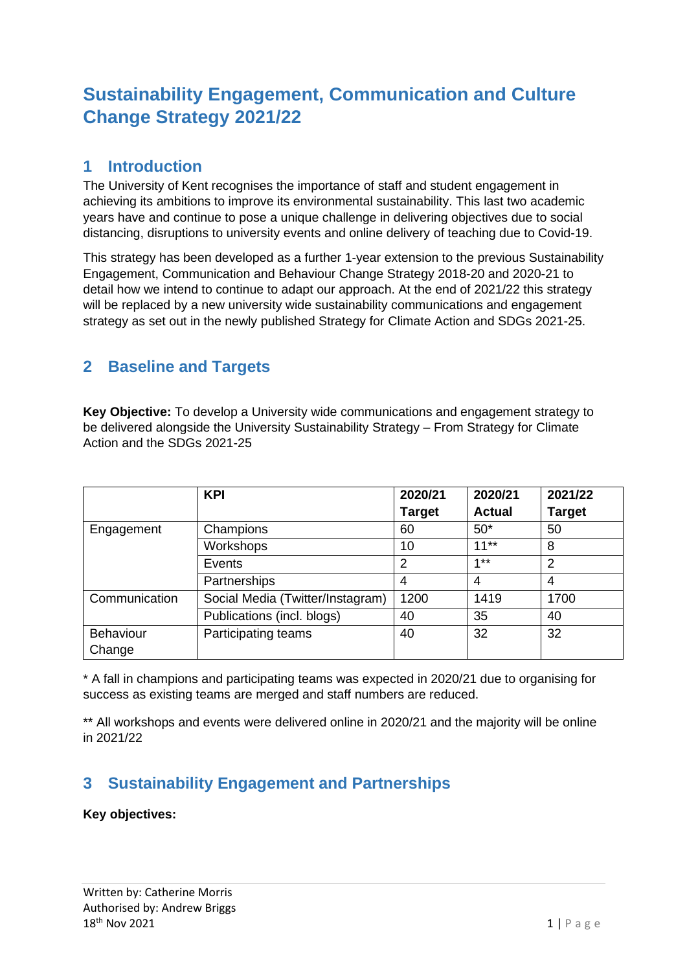# **Sustainability Engagement, Communication and Culture Change Strategy 2021/22**

### **1 Introduction**

The University of Kent recognises the importance of staff and student engagement in achieving its ambitions to improve its environmental sustainability. This last two academic years have and continue to pose a unique challenge in delivering objectives due to social distancing, disruptions to university events and online delivery of teaching due to Covid-19.

This strategy has been developed as a further 1-year extension to the previous Sustainability Engagement, Communication and Behaviour Change Strategy 2018-20 and 2020-21 to detail how we intend to continue to adapt our approach. At the end of 2021/22 this strategy will be replaced by a new university wide sustainability communications and engagement strategy as set out in the newly published Strategy for Climate Action and SDGs 2021-25.

### **2 Baseline and Targets**

**Key Objective:** To develop a University wide communications and engagement strategy to be delivered alongside the University Sustainability Strategy – From Strategy for Climate Action and the SDGs 2021-25

|                  | <b>KPI</b>                       | 2020/21        | 2020/21       | 2021/22        |
|------------------|----------------------------------|----------------|---------------|----------------|
|                  |                                  | <b>Target</b>  | <b>Actual</b> | <b>Target</b>  |
| Engagement       | Champions                        | 60             | $50*$         | 50             |
|                  | Workshops                        | 10             | $11**$        | 8              |
|                  | Events                           | $\overline{2}$ | $4 * *$       | $\overline{2}$ |
|                  | Partnerships                     | 4              | 4             | 4              |
| Communication    | Social Media (Twitter/Instagram) | 1200           | 1419          | 1700           |
|                  | Publications (incl. blogs)       | 40             | 35            | 40             |
| <b>Behaviour</b> | Participating teams              | 40             | 32            | 32             |
| Change           |                                  |                |               |                |

\* A fall in champions and participating teams was expected in 2020/21 due to organising for success as existing teams are merged and staff numbers are reduced.

\*\* All workshops and events were delivered online in 2020/21 and the majority will be online in 2021/22

## **3 Sustainability Engagement and Partnerships**

#### **Key objectives:**